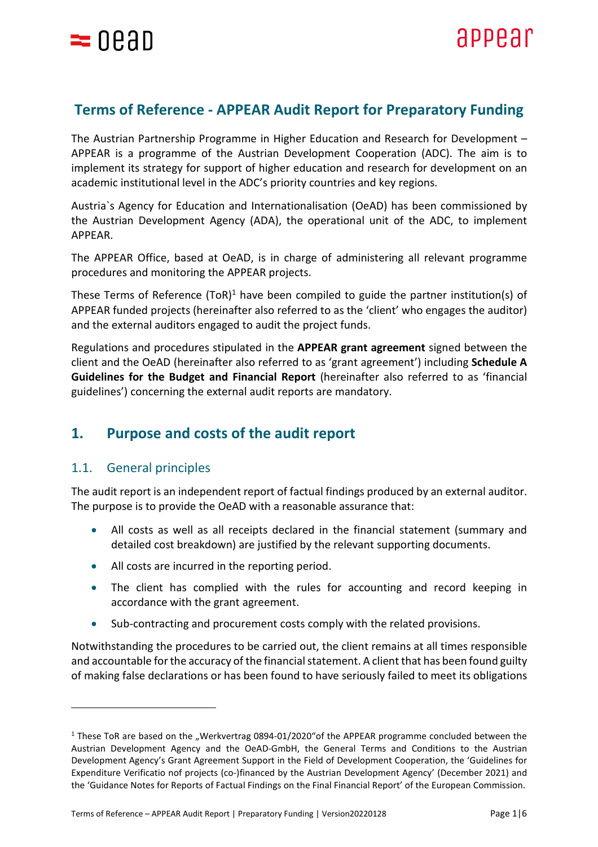

# **Terms of Reference - APPEAR Audit Report for Preparatory Funding**

The Austrian Partnership Programme in Higher Education and Research for Development – APPEAR is a programme of the Austrian Development Cooperation (ADC). The aim is to implement its strategy for support of higher education and research for development on an academic institutional level in the ADC's priority countries and key regions.

Austria`s Agency for Education and Internationalisation (OeAD) has been commissioned by the Austrian Development Agency (ADA), the operational unit of the ADC, to implement APPEAR.

The APPEAR Office, based at OeAD, is in charge of administering all relevant programme procedures and monitoring the APPEAR projects.

These Terms of Reference  $(TOR)^1$  have been compiled to guide the partner institution(s) of APPEAR funded projects (hereinafter also referred to as the 'client' who engages the auditor) and the external auditors engaged to audit the project funds.

Regulations and procedures stipulated in the **APPEAR grant agreement** signed between the client and the OeAD (hereinafter also referred to as 'grant agreement') including **Schedule A Guidelines for the Budget and Financial Report** (hereinafter also referred to as 'financial guidelines') concerning the external audit reports are mandatory.

# **1. Purpose and costs of the audit report**

## 1.1. General principles

The audit report is an independent report of factual findings produced by an external auditor. The purpose is to provide the OeAD with a reasonable assurance that:

- All costs as well as all receipts declared in the financial statement (summary and detailed cost breakdown) are justified by the relevant supporting documents.
- All costs are incurred in the reporting period.
- The client has complied with the rules for accounting and record keeping in accordance with the grant agreement.
- Sub-contracting and procurement costs comply with the related provisions.

Notwithstanding the procedures to be carried out, the client remains at all times responsible and accountable for the accuracy of the financial statement. A client that has been found guilty of making false declarations or has been found to have seriously failed to meet its obligations

 $1$  These ToR are based on the "Werkvertrag 0894-01/2020"of the APPEAR programme concluded between the Austrian Development Agency and the OeAD-GmbH, the General Terms and Conditions to the Austrian Development Agency's Grant Agreement Support in the Field of Development Cooperation, the 'Guidelines for Expenditure Verificatio nof projects (co-)financed by the Austrian Development Agency' (December 2021) and the 'Guidance Notes for Reports of Factual Findings on the Final Financial Report' of the European Commission.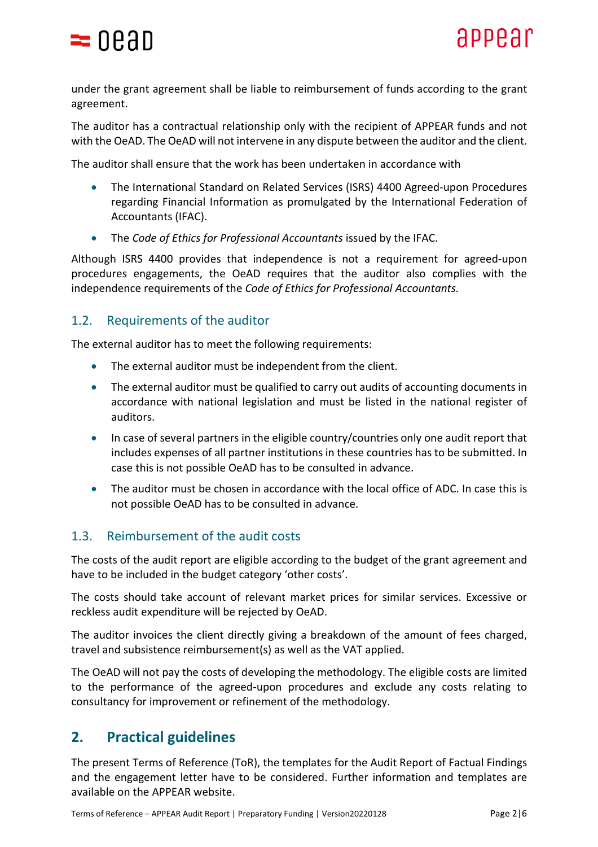

under the grant agreement shall be liable to reimbursement of funds according to the grant agreement.

The auditor has a contractual relationship only with the recipient of APPEAR funds and not with the OeAD. The OeAD will not intervene in any dispute between the auditor and the client.

The auditor shall ensure that the work has been undertaken in accordance with

- The International Standard on Related Services (ISRS) 4400 Agreed-upon Procedures regarding Financial Information as promulgated by the International Federation of Accountants (IFAC).
- The *Code of Ethics for Professional Accountants* issued by the IFAC.

Although ISRS 4400 provides that independence is not a requirement for agreed-upon procedures engagements, the OeAD requires that the auditor also complies with the independence requirements of the *Code of Ethics for Professional Accountants.*

### 1.2. Requirements of the auditor

The external auditor has to meet the following requirements:

- The external auditor must be independent from the client.
- The external auditor must be qualified to carry out audits of accounting documents in accordance with national legislation and must be listed in the national register of auditors.
- In case of several partners in the eligible country/countries only one audit report that includes expenses of all partner institutions in these countries has to be submitted. In case this is not possible OeAD has to be consulted in advance.
- The auditor must be chosen in accordance with the local office of ADC. In case this is not possible OeAD has to be consulted in advance.

### 1.3. Reimbursement of the audit costs

The costs of the audit report are eligible according to the budget of the grant agreement and have to be included in the budget category 'other costs'.

The costs should take account of relevant market prices for similar services. Excessive or reckless audit expenditure will be rejected by OeAD.

The auditor invoices the client directly giving a breakdown of the amount of fees charged, travel and subsistence reimbursement(s) as well as the VAT applied.

The OeAD will not pay the costs of developing the methodology. The eligible costs are limited to the performance of the agreed-upon procedures and exclude any costs relating to consultancy for improvement or refinement of the methodology.

# **2. Practical guidelines**

The present Terms of Reference (ToR), the templates for the Audit Report of Factual Findings and the engagement letter have to be considered. Further information and templates are available on the APPEAR website.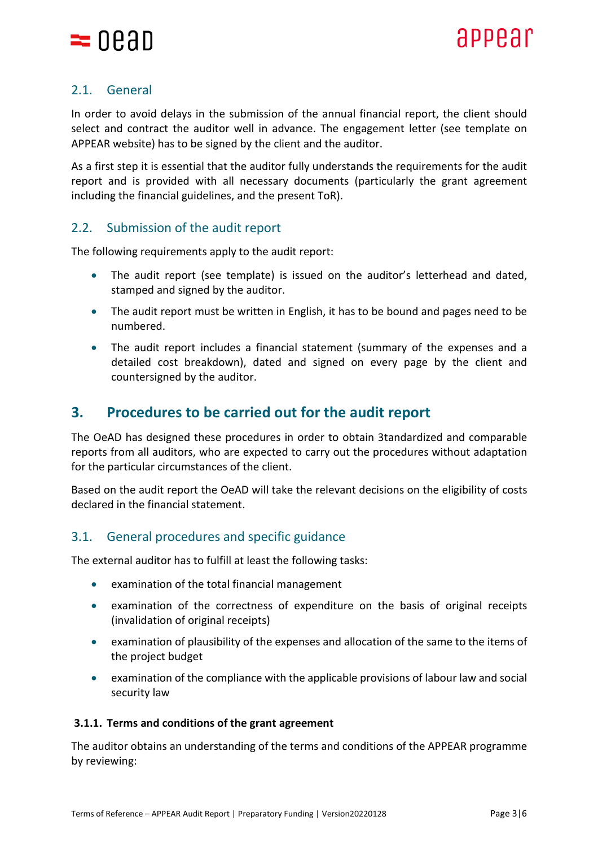

## 2.1. General

In order to avoid delays in the submission of the annual financial report, the client should select and contract the auditor well in advance. The engagement letter (see template on APPEAR website) has to be signed by the client and the auditor.

As a first step it is essential that the auditor fully understands the requirements for the audit report and is provided with all necessary documents (particularly the grant agreement including the financial guidelines, and the present ToR).

## 2.2. Submission of the audit report

The following requirements apply to the audit report:

- The audit report (see template) is issued on the auditor's letterhead and dated, stamped and signed by the auditor.
- The audit report must be written in English, it has to be bound and pages need to be numbered.
- The audit report includes a financial statement (summary of the expenses and a detailed cost breakdown), dated and signed on every page by the client and countersigned by the auditor.

# **3. Procedures to be carried out for the audit report**

The OeAD has designed these procedures in order to obtain 3tandardized and comparable reports from all auditors, who are expected to carry out the procedures without adaptation for the particular circumstances of the client.

Based on the audit report the OeAD will take the relevant decisions on the eligibility of costs declared in the financial statement.

## 3.1. General procedures and specific guidance

The external auditor has to fulfill at least the following tasks:

- examination of the total financial management
- examination of the correctness of expenditure on the basis of original receipts (invalidation of original receipts)
- examination of plausibility of the expenses and allocation of the same to the items of the project budget
- examination of the compliance with the applicable provisions of labour law and social security law

#### **3.1.1. Terms and conditions of the grant agreement**

The auditor obtains an understanding of the terms and conditions of the APPEAR programme by reviewing: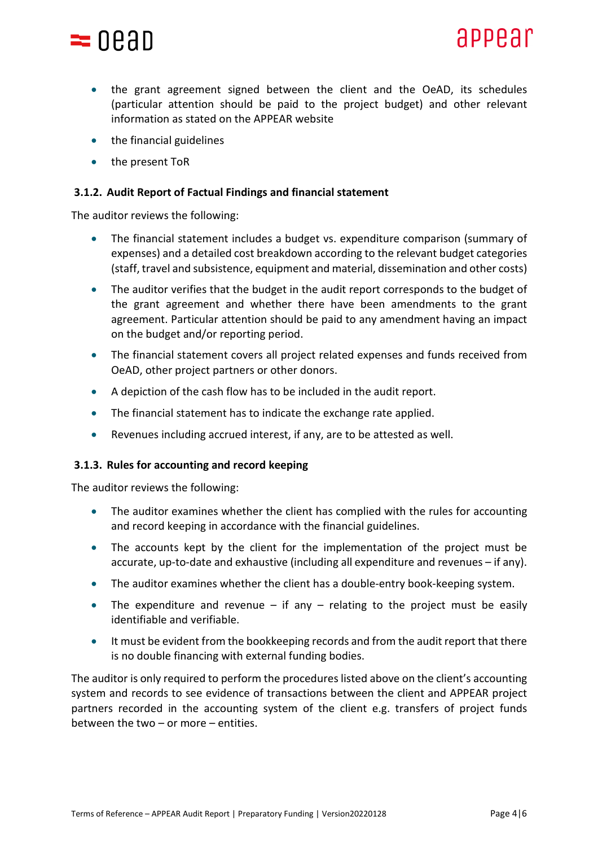

- the grant agreement signed between the client and the OeAD, its schedules (particular attention should be paid to the project budget) and other relevant information as stated on the APPEAR website
- the financial guidelines
- the present ToR

#### **3.1.2. Audit Report of Factual Findings and financial statement**

The auditor reviews the following:

- The financial statement includes a budget vs. expenditure comparison (summary of expenses) and a detailed cost breakdown according to the relevant budget categories (staff, travel and subsistence, equipment and material, dissemination and other costs)
- The auditor verifies that the budget in the audit report corresponds to the budget of the grant agreement and whether there have been amendments to the grant agreement. Particular attention should be paid to any amendment having an impact on the budget and/or reporting period.
- The financial statement covers all project related expenses and funds received from OeAD, other project partners or other donors.
- A depiction of the cash flow has to be included in the audit report.
- The financial statement has to indicate the exchange rate applied.
- Revenues including accrued interest, if any, are to be attested as well.

#### **3.1.3. Rules for accounting and record keeping**

The auditor reviews the following:

- The auditor examines whether the client has complied with the rules for accounting and record keeping in accordance with the financial guidelines.
- The accounts kept by the client for the implementation of the project must be accurate, up-to-date and exhaustive (including all expenditure and revenues – if any).
- The auditor examines whether the client has a double-entry book-keeping system.
- The expenditure and revenue if any relating to the project must be easily identifiable and verifiable.
- It must be evident from the bookkeeping records and from the audit report that there is no double financing with external funding bodies.

The auditor is only required to perform the procedures listed above on the client's accounting system and records to see evidence of transactions between the client and APPEAR project partners recorded in the accounting system of the client e.g. transfers of project funds between the two – or more – entities.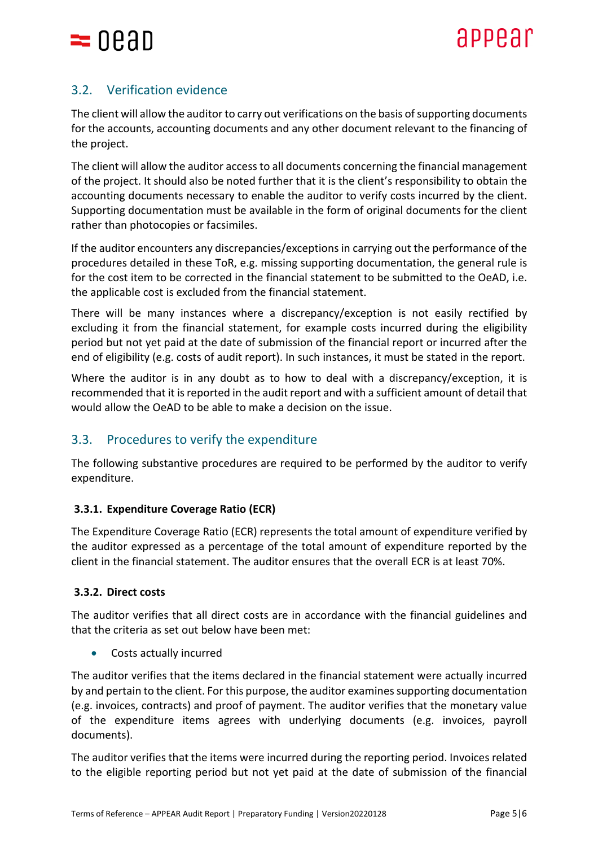

## 3.2. Verification evidence

The client will allow the auditor to carry out verifications on the basis of supporting documents for the accounts, accounting documents and any other document relevant to the financing of the project.

The client will allow the auditor access to all documents concerning the financial management of the project. It should also be noted further that it is the client's responsibility to obtain the accounting documents necessary to enable the auditor to verify costs incurred by the client. Supporting documentation must be available in the form of original documents for the client rather than photocopies or facsimiles.

If the auditor encounters any discrepancies/exceptions in carrying out the performance of the procedures detailed in these ToR, e.g. missing supporting documentation, the general rule is for the cost item to be corrected in the financial statement to be submitted to the OeAD, i.e. the applicable cost is excluded from the financial statement.

There will be many instances where a discrepancy/exception is not easily rectified by excluding it from the financial statement, for example costs incurred during the eligibility period but not yet paid at the date of submission of the financial report or incurred after the end of eligibility (e.g. costs of audit report). In such instances, it must be stated in the report.

Where the auditor is in any doubt as to how to deal with a discrepancy/exception, it is recommended that it is reported in the audit report and with a sufficient amount of detail that would allow the OeAD to be able to make a decision on the issue.

## 3.3. Procedures to verify the expenditure

The following substantive procedures are required to be performed by the auditor to verify expenditure.

## **3.3.1. Expenditure Coverage Ratio (ECR)**

The Expenditure Coverage Ratio (ECR) represents the total amount of expenditure verified by the auditor expressed as a percentage of the total amount of expenditure reported by the client in the financial statement. The auditor ensures that the overall ECR is at least 70%.

### **3.3.2. Direct costs**

The auditor verifies that all direct costs are in accordance with the financial guidelines and that the criteria as set out below have been met:

Costs actually incurred

The auditor verifies that the items declared in the financial statement were actually incurred by and pertain to the client. For this purpose, the auditor examines supporting documentation (e.g. invoices, contracts) and proof of payment. The auditor verifies that the monetary value of the expenditure items agrees with underlying documents (e.g. invoices, payroll documents).

The auditor verifies that the items were incurred during the reporting period. Invoices related to the eligible reporting period but not yet paid at the date of submission of the financial